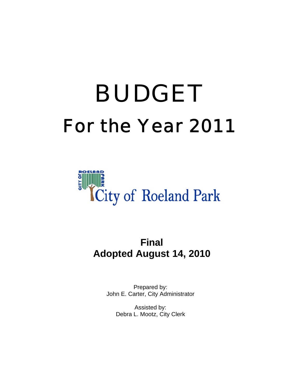# For the Year 2011 BUDGET



# **Final Adopted August 14, 2010**

Prepared by: John E. Carter, City Administrator

> Assisted by: Debra L. Mootz, City Clerk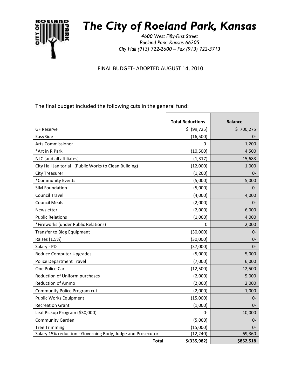

# *The City of Roeland Park, Kansas*

*4600 West Fifty-First Street Roeland Park, Kansas 66205 City Hall (913) 722-2600 – Fax (913) 722-3713*

FINAL BUDGET- ADOPTED AUGUST 14, 2010

The final budget included the following cuts in the general fund:

|                                                             | <b>Total Reductions</b> | <b>Balance</b> |
|-------------------------------------------------------------|-------------------------|----------------|
| <b>GF Reserve</b>                                           | \$ (99, 725)            | \$700,275      |
| EasyRide                                                    |                         | $0-$           |
|                                                             | (16,500)                |                |
| <b>Arts Commissioner</b>                                    | 0-                      | 1,200          |
| *Art in R Park                                              | (10, 500)               | 4,500          |
| NLC (and all affiliates)                                    | (1, 317)                | 15,683         |
| City Hall Janitorial (Public Works to Clean Building)       | (12,000)                | 1,000          |
| <b>City Treasurer</b>                                       | (1,200)                 | $0-$           |
| *Community Events                                           | (5,000)                 | 5,000          |
| <b>SIM Foundation</b>                                       | (5,000)                 | $0-$           |
| <b>Council Travel</b>                                       | (4,000)                 | 4,000          |
| <b>Council Meals</b>                                        | (2,000)                 | $0-$           |
| Newsletter                                                  | (2,000)                 | 6,000          |
| <b>Public Relations</b>                                     | (1,000)                 | 4,000          |
| *Fireworks (under Public Relations)                         | 0                       | 2,000          |
| Transfer to Bldg Equipment                                  | (30,000)                | $0-$           |
| Raises (1.5%)                                               | (30,000)                | $0-$           |
| Salary - PD                                                 | (37,000)                | $0-$           |
| <b>Reduce Computer Upgrades</b>                             | (5,000)                 | 5,000          |
| <b>Police Department Travel</b>                             | (7,000)                 | 6,000          |
| One Police Car                                              | (12,500)                | 12,500         |
| Reduction of Uniform purchases                              | (2,000)                 | 5,000          |
| <b>Reduction of Ammo</b>                                    | (2,000)                 | 2,000          |
| Community Police Program cut                                | (2,000)                 | 1,000          |
| Public Works Equipment                                      | (15,000)                | $0-$           |
| <b>Recreation Grant</b>                                     | (1,000)                 | $0-$           |
| Leaf Pickup Program (\$30,000)                              | 0-                      | 10,000         |
| <b>Community Garden</b>                                     | (5,000)                 | $0-$           |
| <b>Tree Trimming</b>                                        | (15,000)                | $0-$           |
| Salary 15% reduction - Governing Body, Judge and Prosecutor | (12, 240)               | 69,360         |
| <b>Total</b>                                                | $$$ (335,982)           | \$852,518      |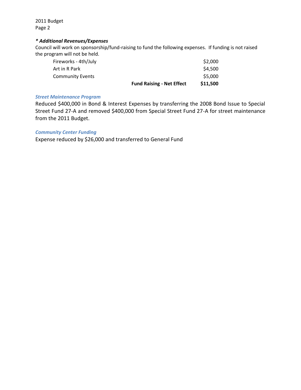2011 Budget Page 2

#### *\* Additional Revenues/Expenses*

Council will work on sponsorship/fund-raising to fund the following expenses. If funding is not raised the program will not be held.

| \$11,500<br><b>Fund Raising - Net Effect</b> |
|----------------------------------------------|
| \$5,000                                      |
| \$4,500                                      |
| \$2,000                                      |
|                                              |

#### *Street Maintenance Program*

Reduced \$400,000 in Bond & Interest Expenses by transferring the 2008 Bond Issue to Special Street Fund 27-A and removed \$400,000 from Special Street Fund 27-A for street maintenance from the 2011 Budget.

#### *Community Center Funding*

Expense reduced by \$26,000 and transferred to General Fund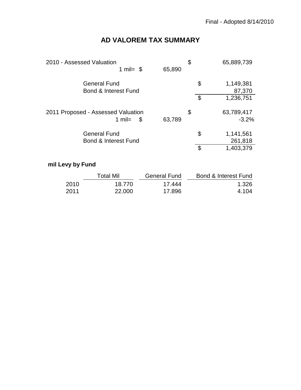# **AD VALOREM TAX SUMMARY**

| 2010 - Assessed Valuation<br>1 mil= $$$                | 65,890                                          | \$     | 65,889,739                 |
|--------------------------------------------------------|-------------------------------------------------|--------|----------------------------|
| <b>General Fund</b><br><b>Bond &amp; Interest Fund</b> |                                                 |        | \$<br>1,149,381<br>87,370  |
|                                                        |                                                 |        | 1,236,751                  |
| 2011 Proposed - Assessed Valuation                     |                                                 | \$     | 63,789,417                 |
|                                                        |                                                 |        | $-3.2%$                    |
| <b>General Fund</b>                                    |                                                 |        | \$<br>1,141,561<br>261,818 |
|                                                        |                                                 |        | \$<br>1,403,379            |
|                                                        | 1 mil=<br>\$<br><b>Bond &amp; Interest Fund</b> | 63,789 | \$                         |

# **mil Levy by Fund**

|       | Total Mil | General Fund | <b>Bond &amp; Interest Fund</b> |
|-------|-----------|--------------|---------------------------------|
| 2010  | 18.770    | 17 444       | 1.326                           |
| -2011 | 22,000    | 17.896       | 4.104                           |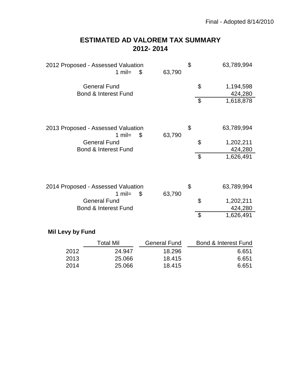# **2012- 2014 ESTIMATED AD VALOREM TAX SUMMARY**

| 2012 Proposed - Assessed Valuation<br>1 mil=           | \$<br>63,790 | \$                        | 63,789,994           |
|--------------------------------------------------------|--------------|---------------------------|----------------------|
| <b>General Fund</b><br><b>Bond &amp; Interest Fund</b> |              | \$                        | 1,194,598<br>424,280 |
|                                                        |              | $\boldsymbol{\mathsf{S}}$ | 1,618,878            |
| 2013 Proposed - Assessed Valuation<br>1 $mil =$        | \$<br>63,790 | \$                        | 63,789,994           |
| <b>General Fund</b><br><b>Bond &amp; Interest Fund</b> |              | \$                        | 1,202,211<br>424,280 |
|                                                        |              | $\boldsymbol{\mathsf{S}}$ | 1,626,491            |
| 2014 Proposed - Assessed Valuation<br>1 mil=           | \$<br>63,790 | \$                        | 63,789,994           |
| <b>General Fund</b><br><b>Bond &amp; Interest Fund</b> |              | \$                        | 1,202,211<br>424,280 |
|                                                        |              | \$                        | 1,626,491            |
| الممبرح برجا يوردها الثالثا                            |              |                           |                      |

### **Mil Levy by Fund**

|      | Total Mil | General Fund | Bond & Interest Fund |
|------|-----------|--------------|----------------------|
| 2012 | 24.947    | 18.296       | 6.651                |
| 2013 | 25.066    | 18.415       | 6.651                |
| 2014 | 25.066    | 18.415       | 6.651                |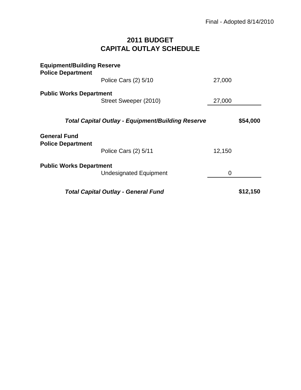# **2011 BUDGET CAPITAL OUTLAY SCHEDULE**

| <b>Equipment/Building Reserve</b><br><b>Police Department</b> |                                                          |        |          |
|---------------------------------------------------------------|----------------------------------------------------------|--------|----------|
|                                                               | Police Cars (2) 5/10                                     | 27,000 |          |
| <b>Public Works Department</b>                                |                                                          |        |          |
|                                                               | Street Sweeper (2010)                                    | 27,000 |          |
|                                                               | <b>Total Capital Outlay - Equipment/Building Reserve</b> |        | \$54,000 |
| <b>General Fund</b><br><b>Police Department</b>               |                                                          |        |          |
|                                                               | Police Cars (2) 5/11                                     | 12,150 |          |
| <b>Public Works Department</b>                                |                                                          |        |          |
|                                                               | <b>Undesignated Equipment</b>                            | 0      |          |
|                                                               | <b>Total Capital Outlay - General Fund</b>               |        | \$12,150 |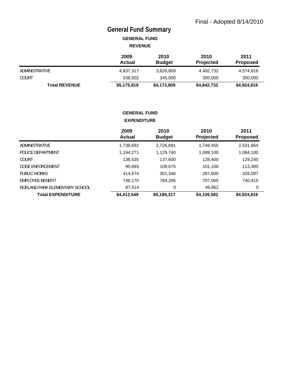# **General Fund Summary**

**GENERAL FUND REVENUE**

|                      | 2009<br>Actual | 2010<br><b>Budget</b> | 2010<br><b>Projected</b> | 2011<br><b>Proposed</b> |
|----------------------|----------------|-----------------------|--------------------------|-------------------------|
| ADMINISTRATIVE       | 4,837,317      | 3,828,809             | 4,492,732                | 4,574,816               |
| <b>COURT</b>         | 338,502        | 345,000               | 350,000                  | 350,000                 |
| <b>Total REVENUE</b> | \$5,175,819    | \$4,173,809           | \$4,842,732              | \$4,924,816             |

#### **GENERAL FUND EXPENDITURE**

|                                | 2009<br><b>Actual</b> | 2010<br><b>Budget</b> | 2010<br>Projected | 2011<br><b>Proposed</b> |
|--------------------------------|-----------------------|-----------------------|-------------------|-------------------------|
| ADMINISTRATIVE                 | 1,738,692             | 2,726,691             | 1,749,455         | 2,531,664               |
| POLICE DEPARTMENT              | 1,194,271             | 1,129,740             | 1,089,100         | 1,084,100               |
| COURT                          | 138,535               | 137,600               | 128,400           | 129,240                 |
| CODE ENFORCEMENT               | 90,693                | 109,675               | 101,100           | 113,300                 |
| PUBLIC WORKS                   | 414,674               | 301,346               | 287,600           | 326,097                 |
| EMPLOYEE BENEFIT               | 748,170               | 784,265               | 707,065           | 740,415                 |
| ROELAND PARK ELEMENTARY SCHOOL | 87,514                | 0                     | 46,862            | 0                       |
| <b>Total EXPENDITURE</b>       | \$4,412,549           | \$5,189,317           | \$4,109,582       | \$4,924,816             |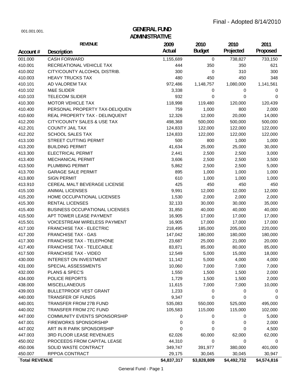# **ADMINISTRATIVE** 001.001.001. **GENERAL FUND**

|                      | <b>REVENUE</b>                        | 2009        | 2010          | 2010        | 2011        |
|----------------------|---------------------------------------|-------------|---------------|-------------|-------------|
| Account#             | Description                           | Actual      | <b>Budget</b> | Projected   | Proposed    |
| 001.000              | <b>CASH FORWARD</b>                   | 1,155,689   | $\mathbf 0$   | 738,827     | 733,150     |
| 410.001              | RECREATIONAL VEHICLE TAX              | 444         | 350           | 350         | 621         |
| 410.002              | CITY/COUNTY ALCOHOL DISTRIB.          | 300         | 0             | 310         | 300         |
| 410.003              | <b>HEAVY TRUCKS TAX</b>               | 480         | 450           | 450         | 348         |
| 410.101              | AD VALOREM TAX                        | 972,486     | 1,148,757     | 1,080,000   | 1,141,561   |
| 410.102              | <b>M&amp;E SLIDER</b>                 | 3,338       | 0             | 0           | 0           |
| 410.103              | <b>TELECOM SLIDER</b>                 | 932         | 0             | 0           | 0           |
| 410.300              | MOTOR VEHICLE TAX                     | 118,998     | 119,480       | 120,000     | 120,439     |
| 410.400              | PERSONAL PROPERTY TAX-DELIQUEN        | 759         | 1,000         | 800         | 2,000       |
| 410.600              | REAL PROPERTY TAX - DELINQUENT        | 12,326      | 12,000        | 20,000      | 14,000      |
| 412.200              | CITY/COUNTY SALES & USE TAX           | 498,368     | 500,000       | 500,000     | 500,000     |
| 412.201              | <b>COUNTY JAIL TAX</b>                | 124,833     | 122,000       | 122,000     | 122,000     |
| 412.202              | <b>SCHOOL SALES TAX</b>               | 124,833     | 122,000       | 122,000     | 122,000     |
| 413.100              | STREET CUTTING PERMIT                 | 500         | 800           | 1,000       | 1,000       |
| 413.200              | <b>BUILDING PERMIT</b>                | 41,634      | 25,000        | 25,000      | 30,000      |
| 413.300              | <b>ELECTRICAL PERMIT</b>              | 2,441       | 2,500         | 2,500       | 3,000       |
| 413.400              | <b>MECHANICAL PERMIT</b>              | 3,606       | 2,500         | 2,500       | 3,500       |
| 413.500              | PLUMBING PERMIT                       | 5,862       | 2,500         | 2,500       | 5,000       |
| 413.700              | <b>GARAGE SALE PERMIT</b>             | 895         | 1,000         | 1,000       | 1,000       |
| 413.800              | <b>SIGN PERMIT</b>                    | 610         | 1,000         | 1,000       | 1,000       |
| 413.910              | CEREAL MALT BEVERAGE LICENSE          | 425         | 450           | 450         | 450         |
| 415.100              | <b>ANIMAL LICENSES</b>                | 9,991       | 12,000        | 12,000      | 12,000      |
| 415.200              | HOME OCCUPATIONAL LICENSES            | 1,530       | 2,000         | 2,000       | 2,000       |
| 415.300              | RENTAL LICENSES                       | 32,133      | 30,000        | 30,000      | 35,000      |
| 415.400              | <b>BUSINESS OCCUPATIONAL LICENSES</b> | 31,850      | 40,000        | 40,000      | 40,000      |
| 415.500              | APT TOWER LEASE PAYMENT               | 16,905      | 17,000        | 17,000      | 17,000      |
| 415.501              | <b>VOICESTREAM WIRELESS PAYMENT</b>   | 16,905      | 17,000        | 17,000      | 17,000      |
| 417.100              | <b>FRANCHISE TAX - ELECTRIC</b>       | 218,495     | 185,000       | 205,000     | 220,000     |
| 417.200              | <b>FRANCHISE TAX - GAS</b>            | 147,042     | 180,000       | 180,000     | 180,000     |
| 417.300              | FRANCHISE TAX - TELEPHONE             | 23,687      | 25,000        | 21,000      | 20,000      |
| 417.400              | FRANCHISE TAX - TELECABLE             | 83,871      | 85,000        | 80,000      | 85,000      |
| 417.500              | <b>FRANCHISE TAX - VIDEO</b>          | 12,549      | 5,000         | 15,000      | 18,000      |
| 430.000              | <b>INTEREST ON INVESTMENT</b>         | 11,142      | 5,000         | 4,000       | 4,000       |
| 431.000              | SPECIAL ASSESSMENTS                   | 10,060      | 7,000         | 7,000       | 7,000       |
| 432.000              | PLANS & SPEC'S                        | 1,550       | 1,500         | 1,500       | 2,000       |
| 434.000              | <b>POLICE REPORTS</b>                 | 1,729       | 1,500         | 1,500       | 2,000       |
| 438.000              | <b>MISCELLANEOUS</b>                  | 11,615      | 7,000         | 7,000       | 10,000      |
| 439.003              | <b>BULLETPROOF VEST GRANT</b>         | 1,233       | 0             | 0           | 0           |
| 440.000              | TRANSFER OF FUNDS                     | 9,347       | 0             | 0           | 0           |
| 440.001              | TRANSFER FROM 27B FUND                | 535,083     | 550,000       | 525,000     | 495,000     |
| 440.002              | TRANSFER FROM 27C FUND                | 105,583     | 115,000       | 115,000     | 102,000     |
| 447.000              | COMMUNITY EVENTS SPONSORSHIP          | 0           | 0             | 0           | 5,000       |
| 447.001              | <b>FIREWORKS SPONSORSHIP</b>          | 0           | 0             | 0           | 2,000       |
| 447.002              | ART IN R PARK SPONSORSHIP             | 0           | 0             | 0           | 4,500       |
| 447.003              | 3RD FLOOR LEASE REVENUES              | 62,026      | 60,000        | 62,000      | 62,000      |
| 450.002              | PROCEEDS FROM CAPITAL LEASE           | 44,310      | 0             | 0           | 0           |
| 450.006              | SOLID WASTE CONTRACT                  | 349,747     | 391,977       | 380,000     | 401,000     |
| 450.007              | RPPOA CONTRACT                        | 29,175      | 30,045        | 30,045      | 30,947      |
| <b>Total REVENUE</b> |                                       | \$4,837,317 | \$3,828,809   | \$4,492,732 | \$4,574,816 |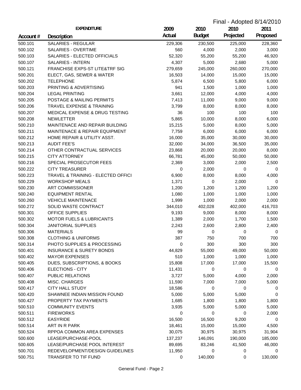| Final - Adopted 8/14/2010 |                                                             |                |               |           |          |
|---------------------------|-------------------------------------------------------------|----------------|---------------|-----------|----------|
|                           | <b>EXPENDITURE</b>                                          | 2009           | 2010          | 2010      | 2011     |
| Account#                  | Description                                                 | Actual         | <b>Budget</b> | Projected | Proposed |
| 500.101                   | <b>SALARIES - REGULAR</b>                                   | 229,306        | 230,500       | 225,000   | 228,360  |
| 500.102                   | SALARIES - OVERTIME                                         | 560            | 4,000         | 2,000     | 3,000    |
| 500.103                   | SALARIES - ELECTED OFFICIALS                                | 52,320         | 55,200        | 55,200    | 46,920   |
| 500.107                   | <b>SALARIES - INTERN</b>                                    | 4,307          | 5,000         | 2,680     | 5,000    |
| 500.121                   | FRANCHISE EXPS-ST LITE&TRF SIG                              | 279,659        | 245,000       | 260,000   | 270,000  |
| 500.201                   | ELECT, GAS, SEWER & WATER                                   | 16,503         | 14,000        | 15,000    | 15,000   |
| 500.202                   | <b>TELEPHONE</b>                                            | 5,874          | 6,500         | 5,800     | 6,000    |
| 500.203                   | PRINTING & ADVERTISING                                      | 941            | 1,500         | 1,000     | 1,000    |
| 500.204                   | <b>LEGAL PRINTING</b>                                       | 3,661          | 12,000        | 4,000     | 4,000    |
| 500.205                   | POSTAGE & MAILING PERMITS                                   | 7,413          | 11,000        | 9,000     | 9,000    |
| 500.206                   | TRAVEL EXPENSE & TRAINING                                   | 3,799          | 8,000         | 8,000     | 8,000    |
| 500.207                   | MEDICAL EXPENSE & DRUG TESTING                              | 36             | 100           | 100       | 100      |
| 500.208                   | <b>NEWLETTER</b>                                            | 5,865          | 10,000        | 8,000     | 6,000    |
| 500.210                   | MAINTENACE AND REPAIR BUILDING                              | 15,215         | 5,000         | 8,000     | 5,000    |
| 500.211                   | MAINTENACE & REPAIR EQUIPMENT                               | 7,759          | 6,000         | 6,000     | 6,000    |
| 500.212                   | HOME REPAIR & UTILITY ASST.                                 | 16,000         | 35,000        | 30,000    | 30,000   |
| 500.213                   | <b>AUDIT FEE'S</b>                                          | 32,000         | 34,000        | 36,500    | 35,000   |
| 500.214                   | OTHER CONTRACTUAL SERVICES                                  | 23,868         | 20,000        | 20,000    | 8,000    |
| 500.215                   | <b>CITY ATTORNEY</b>                                        | 66,781         | 45,000        | 50,000    | 50,000   |
| 500.216                   | SPECIAL PROSECUTOR FEES                                     | 2,369          | 3,000         | 2,000     | 2,500    |
| 500.222                   | <b>CITY TREASURER</b>                                       | 0              | 2,000         | 0         | 0        |
|                           |                                                             | 6,900          | 8,000         | 8,000     |          |
| 500.223<br>500.229        | TRAVEL & TRAINING - ELECTED OFFICI<br><b>WORKSHOP MEALS</b> |                |               |           | 4,000    |
| 500.230                   | <b>ART COMMISSIONER</b>                                     | 1,371<br>1,200 | 0             | 2,000     | 0        |
|                           |                                                             |                | 1,200         | 1,200     | 1,200    |
| 500.240                   | <b>EQUIPMENT RENTAL</b>                                     | 1,080          | 1,000         | 1,000     | 1,000    |
| 500.260                   | <b>VEHICLE MAINTENACE</b>                                   | 1,999          | 1,000         | 2,000     | 2,000    |
| 500.272<br>500.301        | SOLID WASTE CONTRACT                                        | 344,010        | 402,028       | 402,000   | 416,703  |
|                           | OFFICE SUPPLIES                                             | 9,193          | 9,000         | 8,000     | 8,000    |
| 500.302                   | <b>MOTOR FUELS &amp; LUBRICANTS</b>                         | 1,389          | 2,000         | 1,700     | 1,500    |
| 500.304                   | <b>JANITORIAL SUPPLIES</b>                                  | 2,243          | 2,600         | 2,800     | 2,400    |
| 500.306                   | <b>MATERIALS</b>                                            | 99             | 0             | 0         | 0        |
| 500.308                   | <b>CLOTHING &amp; UNIFORMS</b>                              | 387            | 750           | 700       | 700      |
| 500.314                   | PHOTO SUPPLIES & PROCESSING                                 | 0              | 300           | 300       | 300      |
| 500.401                   | <b>INSURANCE &amp; SURETY BONDS</b>                         | 44,829         | 55,000        | 49,000    | 50,000   |
| 500.402                   | <b>MAYOR EXPENSES</b>                                       | 510            | 1,000         | 1,000     | 1,000    |
| 500.405                   | DUES, SUBSCRIPTIONS, & BOOKS                                | 15,808         | 17,000        | 17,000    | 15,500   |
| 500.406                   | ELECTIONS - CITY                                            | 11,431         | 0             | 0         | 0        |
| 500.407                   | PUBLIC RELATIONS                                            | 3,727          | 5,000         | 4,000     | 2,000    |
| 500.408                   | MISC. CHARGES                                               | 11,590         | 7,000         | 7,000     | 5,000    |
| 500.417                   | <b>CITY HALL STUDY</b>                                      | 18,586         | 0             | 0         | 0        |
| 500.420                   | SHAWNEE INDIAN MISSION FOUND                                | 5,000          | 5,000         | 5,000     | 0        |
| 500.427                   | PROPERTY TAX PAYMENTS                                       | 1,685          | 1,800         | 1,800     | 1,800    |
| 500.510                   | <b>COMMUNITY EVENTS</b>                                     | 3,935          | 5,000         | 5,000     | 5,000    |
| 500.511                   | <b>FIREWORKS</b>                                            | 0              | 0             | 0         | 2,000    |
| 500.512                   | <b>EASYRIDE</b>                                             | 16,500         | 16,500        | 9,200     | 0        |
| 500.514                   | ART IN R PARK                                               | 18,461         | 15,000        | 15,000    | 4,500    |
| 500.524                   | RPPOA COMMON AREA EXPENSES                                  | 30,075         | 30,975        | 30,975    | 31,904   |
| 500.600                   | LEASE/PURCHASE-POOL                                         | 137,237        | 146,091       | 190,000   | 185,000  |
| 500.605                   | LEASE/PURCHASE POOL INTEREST                                | 89,695         | 83,246        | 41,500    | 46,000   |
| 500.701                   | REDEVELOPMENT/DESIGN GUIDELINES                             | 11,950         | 0             | 0         | 0        |
| 500.751                   | TRANSFER TO TIF FUND                                        | 0              | 140,000       | 0         | 130,000  |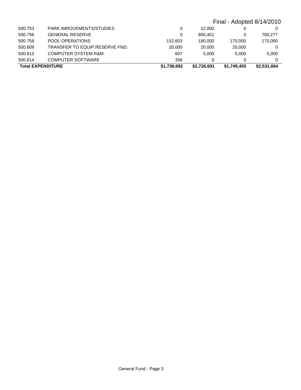|                          |                                |             |             | Final - Adopted 8/14/2010 |             |
|--------------------------|--------------------------------|-------------|-------------|---------------------------|-------------|
| 500.753                  | PARK IMROVEMENTS/STUDIES       | 0           | 12.000      |                           | 0           |
| 500.756                  | <b>GENERAL RESERVE</b>         | 0           | 800.401     |                           | 700.277     |
| 500.758                  | POOL OPERATIONS                | 152.603     | 180,000     | 170.000                   | 170,000     |
| 500.809                  | TRANSFER TO EQUIP.RESERVE FND. | 20,000      | 20,000      | 20,000                    | 0           |
| 500.813                  | <b>COMPUTER SYSTEM R&amp;M</b> | 607         | 5.000       | 5.000                     | 5.000       |
| 500.814                  | <b>COMPUTER SOFTWARE</b>       | 356         | 0           | 0                         | $\Omega$    |
| <b>Total EXPENDITURE</b> |                                | \$1,738,692 | \$2.726.691 | \$1,749,455               | \$2,531,664 |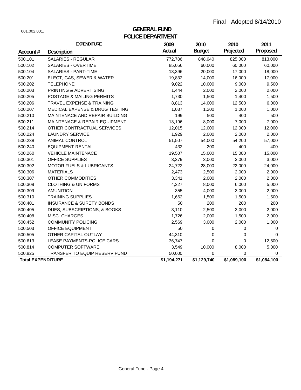| 001.002.001. |  |
|--------------|--|
|              |  |

# **POLICE DEPARTMENT GENERAL FUND**

|                          | <b>EXPENDITURE</b>                        | 2009        | 2010          | 2010        | 2011        |
|--------------------------|-------------------------------------------|-------------|---------------|-------------|-------------|
| Account#                 | <b>Description</b>                        | Actual      | <b>Budget</b> | Projected   | Proposed    |
| 500.101                  | <b>SALARIES - REGULAR</b>                 | 772,786     | 848,640       | 825,000     | 813,000     |
| 500.102                  | SALARIES - OVERTIME                       | 85,056      | 60,000        | 60,000      | 60,000      |
| 500.104                  | SALARIES - PART-TIME                      | 13,396      | 20,000        | 17,000      | 18,000      |
| 500.201                  | ELECT, GAS, SEWER & WATER                 | 19,832      | 14,000        | 16,000      | 17,000      |
| 500.202                  | <b>TELEPHONE</b>                          | 9,022       | 10,000        | 9,000       | 9,500       |
| 500.203                  | PRINTING & ADVERTISING                    | 1,444       | 2,000         | 2,000       | 2,000       |
| 500.205                  | POSTAGE & MAILING PERMITS                 | 1,730       | 1,500         | 1,400       | 1,500       |
| 500.206                  | <b>TRAVEL EXPENSE &amp; TRAINING</b>      | 8,813       | 14,000        | 12,500      | 6,000       |
| 500.207                  | <b>MEDICAL EXPENSE &amp; DRUG TESTING</b> | 1,037       | 1,200         | 1,000       | 1,000       |
| 500.210                  | MAINTENACE AND REPAIR BUILDING            | 199         | 500           | 400         | 500         |
| 500.211                  | <b>MAINTENACE &amp; REPAIR EQUIPMENT</b>  | 13,196      | 8,000         | 7,000       | 7,000       |
| 500.214                  | OTHER CONTRACTUAL SERVICES                | 12,015      | 12,000        | 12,000      | 12,000      |
| 500.224                  | <b>LAUNDRY SERVICE</b>                    | 1,929       | 2,000         | 2,000       | 2,000       |
| 500.238                  | ANIMAL CONTROL                            | 51,507      | 54,000        | 54,200      | 57,000      |
| 500.240                  | <b>EQUIPMENT RENTAL</b>                   | 432         | 200           | 400         | 400         |
| 500.260                  | <b>VEHICLE MAINTENACE</b>                 | 19,507      | 15,000        | 15,000      | 15,000      |
| 500.301                  | OFFICE SUPPLIES                           | 3,379       | 3,000         | 3,000       | 3,000       |
| 500.302                  | <b>MOTOR FUELS &amp; LUBRICANTS</b>       | 24,722      | 28,000        | 22,000      | 24,000      |
| 500.306                  | <b>MATERIALS</b>                          | 2,473       | 2,500         | 2,000       | 2,000       |
| 500.307                  | OTHER COMMODITIES                         | 3,341       | 2,000         | 2,000       | 2,000       |
| 500.308                  | <b>CLOTHING &amp; UNIFORMS</b>            | 4,327       | 8,000         | 6,000       | 5,000       |
| 500.309                  | <b>AMUNITION</b>                          | 355         | 4,000         | 3,000       | 2,000       |
| 500.310                  | <b>TRAINING SUPPLIES</b>                  | 1,662       | 1,500         | 1,500       | 1,500       |
| 500.401                  | <b>INSURANCE &amp; SURETY BONDS</b>       | 50          | 200           | 200         | 200         |
| 500.405                  | DUES, SUBSCRIPTIONS, & BOOKS              | 3,110       | 2,500         | 3,000       | 2,000       |
| 500.408                  | MISC. CHARGES                             | 1,726       | 2,000         | 1,500       | 2,000       |
| 500.452                  | <b>COMMUNITY POLICING</b>                 | 2,569       | 3,000         | 2,000       | 1,000       |
| 500.503                  | <b>OFFICE EQUIPMENT</b>                   | 50          | 0             | 0           | 0           |
| 500.505                  | OTHER CAPITAL OUTLAY                      | 44,310      | 0             | 0           | 0           |
| 500.613                  | LEASE PAYMENTS-POLICE CARS.               | 36,747      | 0             | $\Omega$    | 12,500      |
| 500.814                  | <b>COMPUTER SOFTWARE</b>                  | 3,549       | 10,000        | 8,000       | 5,000       |
| 500.825                  | TRANSFER TO EQUIP RESERV FUND             | 50,000      | 0             | 0           | 0           |
| <b>Total EXPENDITURE</b> |                                           | \$1,194,271 | \$1,129,740   | \$1,089,100 | \$1,084,100 |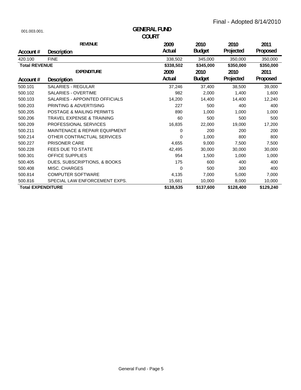| 001.003.001.             |                                          | <b>GENERAL FUND</b> |               |           |           |
|--------------------------|------------------------------------------|---------------------|---------------|-----------|-----------|
|                          |                                          | <b>COURT</b>        |               |           |           |
|                          | <b>REVENUE</b>                           | 2009                | 2010          | 2010      | 2011      |
| Account #                | Description                              | Actual              | <b>Budget</b> | Projected | Proposed  |
| 420.100                  | <b>FINE</b>                              | 338,502             | 345,000       | 350,000   | 350,000   |
| <b>Total REVENUE</b>     |                                          | \$338,502           | \$345,000     | \$350,000 | \$350,000 |
|                          | <b>EXPENDITURE</b>                       | 2009                | 2010          | 2010      | 2011      |
| Account#                 | <b>Description</b>                       | Actual              | <b>Budget</b> | Projected | Proposed  |
| 500.101                  | <b>SALARIES - REGULAR</b>                | 37,246              | 37,400        | 38,500    | 39,000    |
| 500.102                  | <b>SALARIES - OVERTIME</b>               | 982                 | 2,000         | 1,400     | 1,600     |
| 500.103                  | SALARIES - APPOINTED OFFICIALS           | 14,200              | 14,400        | 14,400    | 12,240    |
| 500.203                  | PRINTING & ADVERTISING                   | 227                 | 500           | 400       | 400       |
| 500.205                  | <b>POSTAGE &amp; MAILING PERMITS</b>     | 890                 | 1,000         | 1,000     | 1,000     |
| 500.206                  | <b>TRAVEL EXPENSE &amp; TRAINING</b>     | 60                  | 500           | 500       | 500       |
| 500.209                  | <b>PROFESSIONAL SERVICES</b>             | 16,835              | 22,000        | 19,000    | 17,200    |
| 500.211                  | <b>MAINTENACE &amp; REPAIR EQUIPMENT</b> | 0                   | 200           | 200       | 200       |
| 500.214                  | OTHER CONTRACTUAL SERVICES               | 0                   | 1.000         | 800       | 800       |
| 500.227                  | <b>PRISONER CARE</b>                     | 4,655               | 9,000         | 7,500     | 7,500     |
| 500.228                  | <b>FEES DUE TO STATE</b>                 | 42,495              | 30,000        | 30,000    | 30,000    |
| 500.301                  | <b>OFFICE SUPPLIES</b>                   | 954                 | 1,500         | 1,000     | 1,000     |
| 500.405                  | DUES, SUBSCRIPTIONS, & BOOKS             | 175                 | 600           | 400       | 400       |
| 500.408                  | <b>MISC. CHARGES</b>                     | 0                   | 500           | 300       | 400       |
| 500.814                  | <b>COMPUTER SOFTWARE</b>                 | 4,135               | 7,000         | 5,000     | 7,000     |
| 500.816                  | SPECIAL LAW ENFORCEMENT EXPS.            | 15,681              | 10,000        | 8,000     | 10,000    |
| <b>Total EXPENDITURE</b> |                                          | \$138,535           | \$137,600     | \$128,400 | \$129,240 |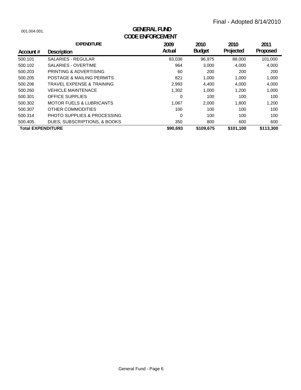| 001.004.001.             | <b>GENERAL FUND</b><br><b>CODE ENFORCEMENT</b> |          |               |           |           |  |
|--------------------------|------------------------------------------------|----------|---------------|-----------|-----------|--|
|                          | <b>EXPENDITURE</b>                             | 2009     | 2010          | 2010      | 2011      |  |
| Account #                | <b>Description</b>                             | Actual   | <b>Budget</b> | Projected | Proposed  |  |
| 500.101                  | <b>SALARIES - REGULAR</b>                      | 83,036   | 96.975        | 88,000    | 101,000   |  |
| 500.102                  | <b>SALARIES - OVERTIME</b>                     | 964      | 3,000         | 4,000     | 4,000     |  |
| 500.203                  | PRINTING & ADVERTISING                         | 60       | 200           | 200       | 200       |  |
| 500.205                  | POSTAGE & MAILING PERMITS                      | 821      | 1,000         | 1,000     | 1,000     |  |
| 500.206                  | TRAVEL EXPENSE & TRAINING                      | 2,993    | 4,400         | 4,000     | 4,000     |  |
| 500.260                  | <b>VEHICLE MAINTENACE</b>                      | 1,302    | 1,000         | 1,200     | 1,000     |  |
| 500.301                  | <b>OFFICE SUPPLIES</b>                         | 0        | 100           | 100       | 100       |  |
| 500.302                  | <b>MOTOR FUELS &amp; LUBRICANTS</b>            | 1,067    | 2,000         | 1,800     | 1,200     |  |
| 500.307                  | OTHER COMMODITIES                              | 100      | 100           | 100       | 100       |  |
| 500.314                  | <b>PHOTO SUPPLIES &amp; PROCESSING</b>         | 0        | 100           | 100       | 100       |  |
| 500.405                  | DUES, SUBSCRIPTIONS, & BOOKS                   | 350      | 800           | 600       | 600       |  |
| <b>Total EXPENDITURE</b> |                                                | \$90,693 | \$109,675     | \$101,100 | \$113,300 |  |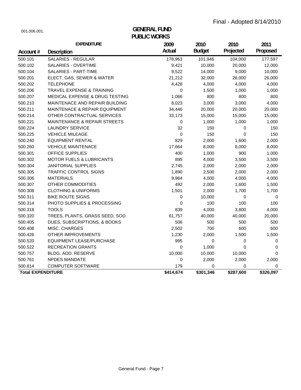# **PUBLIC WORKS** 001.006.001. **GENERAL FUND**

|                          | <b>EXPENDITURE</b>                  | 2009      | 2010          | 2010      | 2011      |
|--------------------------|-------------------------------------|-----------|---------------|-----------|-----------|
| Account#                 | <b>Description</b>                  | Actual    | <b>Budget</b> | Projected | Proposed  |
| 500.101                  | <b>SALARIES - REGULAR</b>           | 178,963   | 101,946       | 104,000   | 177,597   |
| 500.102                  | SALARIES - OVERTIME                 | 9,421     | 10,000        | 20,000    | 12,000    |
| 500.104                  | SALARIES - PART-TIME                | 9,522     | 14,000        | 9,000     | 10,000    |
| 500.201                  | ELECT, GAS, SEWER & WATER           | 21,212    | 32,000        | 26,000    | 26,000    |
| 500.202                  | <b>TELEPHONE</b>                    | 4,428     | 4,000         | 4,000     | 4,000     |
| 500.206                  | TRAVEL EXPENSE & TRAINING           | 0         | 1,500         | 1,000     | 1,000     |
| 500.207                  | MEDICAL EXPENSE & DRUG TESTING      | 1,066     | 800           | 800       | 800       |
| 500.210                  | MAINTENACE AND REPAIR BUILDING      | 8,023     | 3,000         | 3,000     | 4,000     |
| 500.211                  | MAINTENACE & REPAIR EQUIPMENT       | 34,446    | 20,000        | 20,000    | 20,000    |
| 500.214                  | OTHER CONTRACTUAL SERVICES          | 33,173    | 15,000        | 15,000    | 15,000    |
| 500.221                  | MAINTENANCE & REPAIR STREETS        | 0         | 1,000         | 1,000     | 1,000     |
| 500.224                  | <b>LAUNDRY SERVICE</b>              | 32        | 150           | 0         | 150       |
| 500.225                  | <b>VEHICLE MILEAGE</b>              | 0         | 150           | 0         | 150       |
| 500.240                  | <b>EQUIPMENT RENTAL</b>             | 829       | 2,000         | 1,600     | 2,000     |
| 500.260                  | <b>VEHICLE MAINTENACE</b>           | 17,664    | 8,000         | 8,000     | 8,000     |
| 500.301                  | OFFICE SUPPLIES                     | 400       | 1,000         | 900       | 1,000     |
| 500.302                  | <b>MOTOR FUELS &amp; LUBRICANTS</b> | 895       | 4,000         | 3,500     | 3,500     |
| 500.304                  | <b>JANITORIAL SUPPLIES</b>          | 2,745     | 2,000         | 2,000     | 2,000     |
| 500.305                  | <b>TRAFFIC CONTROL SIGNS</b>        | 1,890     | 2,500         | 2,000     | 2,000     |
| 500.306                  | <b>MATERIALS</b>                    | 9,964     | 4,000         | 4,000     | 4,000     |
| 500.307                  | OTHER COMMODITIES                   | 492       | 2,000         | 1,600     | 1,500     |
| 500.308                  | <b>CLOTHING &amp; UNIFORMS</b>      | 1,501     | 2,000         | 1,700     | 1,700     |
| 500.311                  | <b>BIKE ROUTE SIGNS</b>             | 0         | 10,000        | 0         | 0         |
| 500.314                  | PHOTO SUPPLIES & PROCESSING         | 0         | 100           | 100       | 100       |
| 500.318                  | <b>TOOLS</b>                        | 839       | 4,000         | 3,800     | 4,000     |
| 500.320                  | TREES, PLANTS, GRASS SEED, SOD      | 61,757    | 40,000        | 40,000    | 20,000    |
| 500.405                  | DUES, SUBSCRIPTIONS, & BOOKS        | 506       | 500           | 500       | 500       |
| 500.408                  | MISC. CHARGES                       | 2,502     | 700           | 600       | 600       |
| 500.426                  | <b>OTHER IMPROVEMENTS</b>           | 1,230     | 2,000         | 1,500     | 1,500     |
| 500.520                  | <b>EQUIPMENT LEASE/PURCHASE</b>     | 995       | 0             | 0         | 0         |
| 500.522                  | <b>RECREATION GRANTS</b>            | 0         | 1,000         | 0         | 0         |
| 500.757                  | BLDG. ADD. RESERVE                  | 10,000    | 10,000        | 10,000    | 0         |
| 500.761                  | <b>NPDES MANDATE</b>                | 0         | 2,000         | 2,000     | 2,000     |
| 500.814                  | <b>COMPUTER SOFTWARE</b>            | 179       | 0             | 0         | 0         |
| <b>Total EXPENDITURE</b> |                                     | \$414,674 | \$301,346     | \$287,600 | \$326,097 |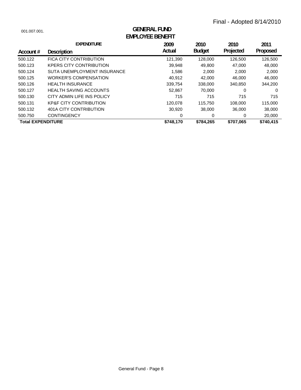| 001.007.001.             | <b>GENERAL FUND</b><br><b>EMPLOYEE BENEFIT</b> |           |               |           |           |  |  |
|--------------------------|------------------------------------------------|-----------|---------------|-----------|-----------|--|--|
|                          | <b>EXPENDITURE</b>                             | 2009      | 2010          | 2010      | 2011      |  |  |
| Account $#$              | <b>Description</b>                             | Actual    | <b>Budget</b> | Projected | Proposed  |  |  |
| 500.122                  | <b>FICA CITY CONTRIBUTION</b>                  | 121,390   | 128,000       | 126,500   | 126,500   |  |  |
| 500.123                  | <b>KPERS CITY CONTRIBUTION</b>                 | 39.948    | 49.800        | 47.000    | 48,000    |  |  |
| 500.124                  | SUTA UNEMPLOYMENT INSURANCE                    | 1,586     | 2,000         | 2,000     | 2,000     |  |  |
| 500.125                  | <b>WORKER'S COMPENSATION</b>                   | 40,912    | 42,000        | 46,000    | 46,000    |  |  |
| 500.126                  | <b>HEALTH INSURANCE</b>                        | 339,754   | 338,000       | 340,850   | 344.200   |  |  |
| 500.127                  | <b>HEALTH SAVING ACCOUNTS</b>                  | 52,867    | 70,000        | 0         | 0         |  |  |
| 500.130                  | CITY ADMIN LIFE INS POLICY                     | 715       | 715           | 715       | 715       |  |  |
| 500.131                  | <b>KP&amp;F CITY CONTRIBUTION</b>              | 120.078   | 115,750       | 108,000   | 115,000   |  |  |
| 500.132                  | 401A CITY CONTRIBUTION                         | 30,920    | 38,000        | 36,000    | 38,000    |  |  |
| 500.750                  | <b>CONTINGENCY</b>                             | 0         | 0             | 0         | 20,000    |  |  |
| <b>Total EXPENDITURE</b> |                                                | \$748,170 | \$784,265     | \$707,065 | \$740,415 |  |  |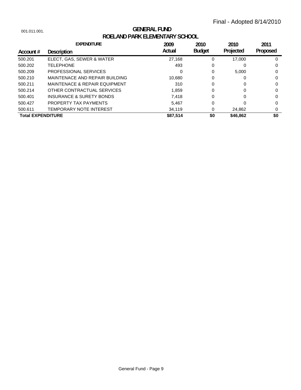# **ROELAND PARK ELEMENTARY SCHOOL** 001.011.001. **GENERAL FUND**

|                          | <b>EXPENDITURE</b>                       | 2009   | 2010          | 2010      | 2011     |
|--------------------------|------------------------------------------|--------|---------------|-----------|----------|
| Account #                | Description                              | Actual | <b>Budget</b> | Projected | Proposed |
| 500.201                  | ELECT, GAS, SEWER & WATER                | 27,168 | 0             | 17.000    | O        |
| 500.202                  | <b>TELEPHONE</b>                         | 493    | 0             |           | 0        |
| 500.209                  | <b>PROFESSIONAL SERVICES</b>             | 0      | 0             | 5.000     | 0        |
| 500.210                  | MAINTENACE AND REPAIR BUILDING           | 10.680 | 0             |           | 0        |
| 500.211                  | <b>MAINTENACE &amp; REPAIR EQUIPMENT</b> | 310    | 0             | 0         | 0        |
| 500.214                  | OTHER CONTRACTUAL SERVICES               | 1,859  | 0             | 0         | 0        |
| 500,401                  | INSURANCE & SURETY BONDS                 | 7.418  | 0             | 0         | 0        |
| 500.427                  | PROPERTY TAX PAYMENTS                    | 5.467  | 0             |           | 0        |
| 500.611                  | TEMPORARY NOTE INTEREST                  | 34,119 | 0             | 24,862    | 0        |
| <b>Total EXPENDITURE</b> | \$0<br>\$87,514                          |        | \$46,862      | \$0       |          |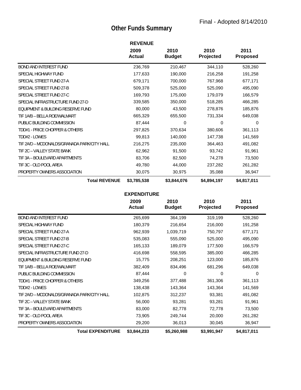# **Other Funds Summary**

|                                             | <b>REVENUE</b>        |                       |                   |                         |
|---------------------------------------------|-----------------------|-----------------------|-------------------|-------------------------|
|                                             | 2009<br><b>Actual</b> | 2010<br><b>Budget</b> | 2010<br>Projected | 2011<br><b>Proposed</b> |
| <b>BOND AND INTEREST FUND</b>               | 236,769               | 210,467               | 344,110           | 528,260                 |
| SPECIAL HIGHWAY FUND                        | 177,633               | 190,000               | 216,258           | 191,258                 |
| SPECIAL STREET FUND 27-A                    | 679,171               | 700,000               | 767,968           | 677,171                 |
| SPECIAL STREET FUND 27-B                    | 509,378               | 525,000               | 525,090           | 495,090                 |
| SPECIAL STREET FUND 27-C                    | 169,793               | 175,000               | 179,079           | 166,579                 |
| SPECIAL INFRASTRUCTURE FUND 27-D            | 339,585               | 350,000               | 518,285           | 466,285                 |
| EQUIPMENT & BUILDING RESERVE FUND           | 80,000                | 43,500                | 278,876           | 185,876                 |
| TIF 1A/B - BELLA ROE/WALMART                | 665,329               | 655,500               | 731,334           | 649,038                 |
| PUBLIC BUILDING COMMISSION                  | 87,444                | 0                     | 0                 | $\Omega$                |
| TDD#1 - PRICE CHOPPER & OTHERS              | 297,825               | 370,634               | 380,606           | 361,113                 |
| TDD#2 - LOWES                               | 99,813                | 140,000               | 147,738           | 141,569                 |
| TIF 2A/D - MCDONALDS/GRANADA PARK/CITY HALL | 216,275               | 235,000               | 364,463           | 491,082                 |
| TIF 2C - VALLEY STATE BANK                  | 62,962                | 91,500                | 93,742            | 91,961                  |
| TIF 3A - BOULEVARD APARTMENTS               | 83,706                | 82,500                | 74,278            | 73,500                  |
| TIF 3C - OLD POOL AREA                      | 49,780                | 44,000                | 237,282           | 261,282                 |
| PROPERTY OWNERS ASSOCIATION                 | 30,075                | 30,975                | 35,088            | 36,947                  |
| <b>Total REVENUE</b>                        | \$3,785,538           | \$3,844,076           | \$4,894,197       | \$4,817,011             |

|                                             | 2009<br><b>Actual</b> | 2010<br><b>Budget</b> | 2010<br>Projected | 2011<br><b>Proposed</b> |
|---------------------------------------------|-----------------------|-----------------------|-------------------|-------------------------|
| <b>BOND AND INTEREST FUND</b>               | 265,699               | 364,199               | 319,199           | 528,260                 |
| SPECIAL HIGHWAY FUND                        | 180,379               | 216,654               | 216,000           | 191,258                 |
| SPECIAL STREET FUND 27-A                    | 962,939               | 1,039,719             | 750,797           | 677,171                 |
| SPECIAL STREET FUND 27-B                    | 535,083               | 555,090               | 525,000           | 495,090                 |
| SPECIAL STREET FUND 27-C                    | 165,133               | 189,079               | 177,500           | 166,579                 |
| SPECIAL INFRASTRUCTURE FUND 27-D            | 416,698               | 558,595               | 385,000           | 466,285                 |
| EQUIPMENT & BUILDING RESERVE FUND           | 15,775                | 208,251               | 123,000           | 185,876                 |
| TIF 1A/B - BELLA ROE/WALMART                | 382,409               | 834,496               | 681,296           | 649,038                 |
| PUBLIC BUILDING COMMISSION                  | 87,444                | 0                     | 0                 | 0                       |
| TDD#1 - PRICE CHOPPER & OTHERS              | 349,256               | 377,488               | 361,306           | 361,113                 |
| TDD#2 - LOWES                               | 138,438               | 143,364               | 143,364           | 141,569                 |
| TIF 2A/D - MCDONALDS/GRANADA PARK/CITY HALL | 102,875               | 312,237               | 93,381            | 491,082                 |
| TIF 2C - VALLEY STATE BANK                  | 56,000                | 93,281                | 93,281            | 91,961                  |
| TIF 3A - BOULEVARD APARTMENTS               | 83,000                | 82,778                | 72,778            | 73,500                  |
| TIF 3C - OLD POOL AREA                      | 73,905                | 249,744               | 20,000            | 261,282                 |
| PROPERTY OWNERS ASSOCIATION                 | 29,200                | 36,013                | 30,045            | 36,947                  |
| <b>Total EXPENDITURE</b>                    | \$3,844,233           | \$5,260,988           | \$3,991,947       | \$4,817,011             |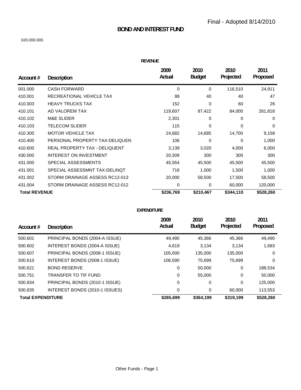## **BOND AND INTEREST FUND**

#### 020.000.000.

| REVENUE |  |  |
|---------|--|--|

| Account #            | <b>Description</b>             | 2009<br>Actual | 2010<br><b>Budget</b> | 2010<br>Projected | 2011<br>Proposed |
|----------------------|--------------------------------|----------------|-----------------------|-------------------|------------------|
| 001.000              | <b>CASH FORWARD</b>            | 0              | 0                     | 116,510           | 24,911           |
| 410.001              | RECREATIONAL VEHICLE TAX       | 88             | 40                    | 40                | 47               |
| 410.003              | <b>HEAVY TRUCKS TAX</b>        | 152            | 0                     | 60                | 26               |
| 410.101              | AD VALOREM TAX                 | 119,607        | 87,422                | 84,000            | 261,818          |
| 410.102              | <b>M&amp;E SLIDER</b>          | 2,301          | 0                     | 0                 | $\Omega$         |
| 410.103              | <b>TELECOM SLIDER</b>          | 115            | 0                     | $\Omega$          | $\Omega$         |
| 410.300              | <b>MOTOR VEHICLE TAX</b>       | 24,682         | 14,685                | 14,700            | 9,158            |
| 410.400              | PERSONAL PROPERTY TAX-DELIQUEN | 106            | 0                     | 0                 | 1,000            |
| 410.600              | REAL PROPERTY TAX - DELIQUENT  | 3,139          | 3,020                 | 4,000             | 6,000            |
| 430.000              | <b>INTEREST ON INVESTMENT</b>  | 20,309         | 300                   | 300               | 300              |
| 431.000              | SPECIAL ASSESSMENTS            | 45,554         | 45,500                | 45,500            | 45,500           |
| 431.001              | SPECIAL ASSESSMNT TAX-DELINOT  | 716            | 1,000                 | 1,500             | 1,000            |
| 431.002              | STORM DRAINAGE ASSESS RC12-013 | 20,000         | 58,500                | 17,500            | 58,500           |
| 431.004              | STORM DRAINAGE ASSESS RC12-012 | 0              | 0                     | 60,000            | 120,000          |
| <b>Total REVENUE</b> |                                | \$236,769      | \$210,467             | \$344,110         | \$528,260        |

|                          |                                | 2009<br>Actual | 2010<br><b>Budget</b> | 2010<br>Projected | 2011<br>Proposed |
|--------------------------|--------------------------------|----------------|-----------------------|-------------------|------------------|
| Account $#$              | <b>Description</b>             |                |                       |                   |                  |
| 500.601                  | PRINCIPAL BONDS (2004-A ISSUE) | 49.490         | 45,366                | 45.366            | 49,490           |
| 500.602                  | INTEREST BONDS (2004-A ISSUE)  | 4,619          | 3.134                 | 3.134             | 1,683            |
| 500.607                  | PRINCIPAL BONDS (2008-1 ISSUE) | 105.000        | 135,000               | 135,000           | 0                |
| 500.610                  | INTEREST BONDS (2008-1 ISSUE)  | 106.590        | 75,699                | 75,699            | 0                |
| 500.621                  | <b>BOND RESERVE</b>            | 0              | 50,000                | 0                 | 188,534          |
| 500.751                  | TRANSFER TO TIF FUND           | 0              | 55,000                | 0                 | 50,000           |
| 500.834                  | PRINCIPAL BONDS (2010-1 ISSUE) | 0              | 0                     | 0                 | 125,000          |
| 500.835                  | INTEREST BONDS (2010-1 ISSUES) | 0              | 0                     | 60.000            | 113,553          |
| <b>Total EXPENDITURE</b> |                                | \$265.699      | \$364.199             | \$319.199         | \$528,260        |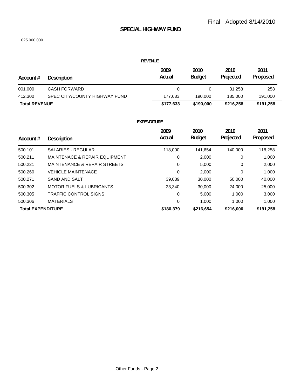#### **SPECIAL HIGHWAY FUND**

#### 025.000.000.

#### **REVENUE Account # 2010 Projected 2011 Proposed 2009 Actual 2010 Description Budget Budget** 001.000 CASH FORWARD 0 0 31,258 258 412.300 SPEC CITY/COUNTY HIGHWAY FUND 177,633 190,000 185,000 191,000 **Total REVENUE \$177,633 \$190,000 \$216,258 \$191,258**

| Account $#$              | <b>Description</b>                       | 2009<br>Actual | 2010<br><b>Budget</b> | 2010<br>Projected | 2011<br>Proposed |
|--------------------------|------------------------------------------|----------------|-----------------------|-------------------|------------------|
| 500.101                  | <b>SALARIES - REGULAR</b>                | 118,000        | 141,654               | 140.000           | 118,258          |
| 500.211                  | <b>MAINTENACE &amp; REPAIR EQUIPMENT</b> | 0              | 2,000                 | 0                 | 1,000            |
| 500.221                  | MAINTENANCE & REPAIR STREETS             | 0              | 5,000                 | 0                 | 2,000            |
| 500.260                  | <b>VEHICLE MAINTENACE</b>                | 0              | 2,000                 | 0                 | 1,000            |
| 500.271                  | SAND AND SALT                            | 39,039         | 30,000                | 50,000            | 40,000           |
| 500.302                  | <b>MOTOR FUELS &amp; LUBRICANTS</b>      | 23.340         | 30,000                | 24.000            | 25,000           |
| 500.305                  | <b>TRAFFIC CONTROL SIGNS</b>             | 0              | 5,000                 | 1,000             | 3,000            |
| 500.306                  | <b>MATERIALS</b>                         | 0              | 1,000                 | 1,000             | 1,000            |
| <b>Total EXPENDITURE</b> |                                          | \$180,379      | \$216,654             | \$216,000         | \$191,258        |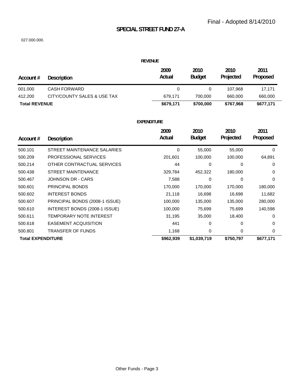# **SPECIAL STREET FUND 27-A**

#### 027.000.000.

#### **REVENUE**

| Account #            | Description                 | 2009<br>Actual | 2010<br><b>Budget</b> | 2010<br>Projected | 2011<br><b>Proposed</b> |
|----------------------|-----------------------------|----------------|-----------------------|-------------------|-------------------------|
| 001.000              | CASH FORWARD                |                |                       | 107.968           | 17.171                  |
| 412.200              | CITY/COUNTY SALES & USE TAX | 679.171        | 700.000               | 660,000           | 660,000                 |
| <b>Total REVENUE</b> |                             | \$679,171      | \$700,000             | \$767,968         | \$677,171               |

| Account #                | <b>Description</b>             | 2009<br>Actual | 2010<br><b>Budget</b> | 2010<br>Projected | 2011<br>Proposed |
|--------------------------|--------------------------------|----------------|-----------------------|-------------------|------------------|
|                          |                                |                |                       |                   |                  |
| 500.101                  | STREET MAINTENANCE SALARIES    | 0              | 55,000                | 55,000            | $\Omega$         |
| 500.209                  | PROFESSIONAL SERVICES          | 201,601        | 100,000               | 100,000           | 64,891           |
| 500.214                  | OTHER CONTRACTUAL SERVICES     | 44             | 0                     | 0                 | 0                |
| 500.438                  | STREET MAINTENANCE             | 329,784        | 452,322               | 180,000           | 0                |
| 500.467                  | JOHNSON DR - CARS              | 7,588          | 0                     | 0                 | $\Omega$         |
| 500.601                  | PRINCIPAL BONDS                | 170,000        | 170,000               | 170,000           | 180,000          |
| 500.602                  | <b>INTEREST BONDS</b>          | 21,118         | 16,698                | 16,698            | 11,682           |
| 500.607                  | PRINCIPAL BONDS (2008-1 ISSUE) | 100,000        | 135,000               | 135,000           | 280,000          |
| 500.610                  | INTEREST BONDS (2008-1 ISSUE)  | 100,000        | 75,699                | 75,699            | 140,598          |
| 500.611                  | TEMPORARY NOTE INTEREST        | 31,195         | 35,000                | 18,400            | $\Omega$         |
| 500.618                  | <b>EASEMENT ACQUISITION</b>    | 441            | 0                     | 0                 | $\Omega$         |
| 500.801                  | TRANSFER OF FUNDS              | 1,168          | 0                     | 0                 | 0                |
| <b>Total EXPENDITURE</b> |                                | \$962,939      | \$1,039,719           | \$750,797         | \$677,171        |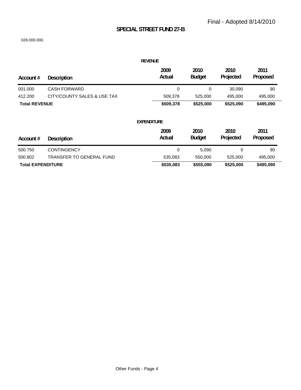# **SPECIAL STREET FUND 27-B**

|                          |                             | <b>REVENUE</b>     |                       |                   |                  |
|--------------------------|-----------------------------|--------------------|-----------------------|-------------------|------------------|
| Account #                | <b>Description</b>          | 2009<br>Actual     | 2010<br><b>Budget</b> | 2010<br>Projected | 2011<br>Proposed |
| 001.000                  | <b>CASH FORWARD</b>         | 0                  | 0                     | 30,090            | 90               |
| 412.200                  | CITY/COUNTY SALES & USE TAX | 509,378            | 525,000               | 495,000           | 495,000          |
| <b>Total REVENUE</b>     |                             | \$509,378          | \$525,000             | \$525,090         | \$495,090        |
|                          |                             | <b>EXPENDITURE</b> |                       |                   |                  |
| Account #                | <b>Description</b>          | 2009<br>Actual     | 2010<br><b>Budget</b> | 2010<br>Projected | 2011<br>Proposed |
| 500.750                  | <b>CONTINGENCY</b>          | 0                  | 5,090                 | 0                 | 90               |
| 500.802                  | TRANSFER TO GENERAL FUND    | 535,083            | 550,000               | 525,000           | 495,000          |
| <b>Total EXPENDITURE</b> |                             | \$535,083          | \$555,090             | \$525,000         | \$495,090        |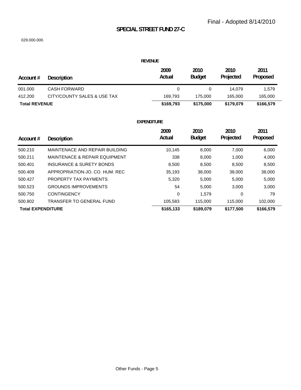# **SPECIAL STREET FUND 27-C**

#### 029.000.000.

|                      |                             | <b>REVENUE</b> |                       |                   |                  |
|----------------------|-----------------------------|----------------|-----------------------|-------------------|------------------|
| Account #            | <b>Description</b>          | 2009<br>Actual | 2010<br><b>Budget</b> | 2010<br>Projected | 2011<br>Proposed |
| 001.000              | <b>CASH FORWARD</b>         | 0              | 0                     | 14.079            | 1,579            |
| 412.200              | CITY/COUNTY SALES & USE TAX | 169.793        | 175,000               | 165.000           | 165,000          |
| <b>Total REVENUE</b> |                             | \$169,793      | \$175,000             | \$179,079         | \$166,579        |

| Account $#$              | <b>Description</b>                       | 2009<br>Actual | 2010<br><b>Budget</b> | 2010<br>Projected | 2011<br>Proposed |
|--------------------------|------------------------------------------|----------------|-----------------------|-------------------|------------------|
| 500.210                  | MAINTENACE AND REPAIR BUILDING           | 10.145         | 8,000                 | 7,000             | 6,000            |
| 500.211                  | <b>MAINTENACE &amp; REPAIR EQUIPMENT</b> | 338            | 8,000                 | 1,000             | 4,000            |
| 500.401                  | <b>INSURANCE &amp; SURETY BONDS</b>      | 8,500          | 8,500                 | 8,500             | 8,500            |
| 500.409                  | APPROPRIATION-JO. CO. HUM. REC.          | 35,193         | 38,000                | 38,000            | 38,000           |
| 500.427                  | PROPERTY TAX PAYMENTS                    | 5,320          | 5,000                 | 5,000             | 5,000            |
| 500.523                  | <b>GROUNDS IMPROVEMENTS</b>              | 54             | 5,000                 | 3,000             | 3,000            |
| 500.750                  | <b>CONTINGENCY</b>                       | 0              | 1.579                 | 0                 | 79               |
| 500.802                  | TRANSFER TO GENERAL FUND                 | 105,583        | 115,000               | 115,000           | 102,000          |
| <b>Total EXPENDITURE</b> |                                          | \$165,133      | \$189.079             | \$177,500         | \$166,579        |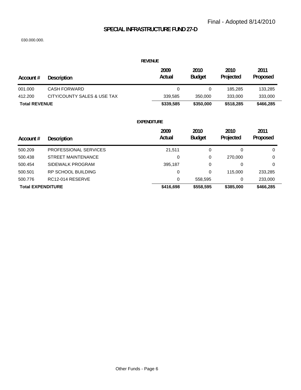# **SPECIAL INFRASTRUCTURE FUND 27-D**

|                          |                             | <b>REVENUE</b>     |                       |                   |                  |
|--------------------------|-----------------------------|--------------------|-----------------------|-------------------|------------------|
| Account #                | <b>Description</b>          | 2009<br>Actual     | 2010<br><b>Budget</b> | 2010<br>Projected | 2011<br>Proposed |
| 001.000                  | <b>CASH FORWARD</b>         | $\mathbf 0$        | 0                     | 185,285           | 133,285          |
| 412.200                  | CITY/COUNTY SALES & USE TAX | 339,585            | 350,000               | 333,000           | 333,000          |
| <b>Total REVENUE</b>     |                             | \$339,585          | \$350,000             | \$518,285         | \$466,285        |
|                          |                             | <b>EXPENDITURE</b> |                       |                   |                  |
| Account#                 | <b>Description</b>          | 2009<br>Actual     | 2010<br><b>Budget</b> | 2010<br>Projected | 2011<br>Proposed |
| 500.209                  | PROFESSIONAL SERVICES       | 21,511             | 0                     | 0                 | 0                |
| 500.438                  | <b>STREET MAINTENANCE</b>   | 0                  | 0                     | 270,000           | 0                |
| 500.454                  | SIDEWALK PROGRAM            | 395,187            | 0                     | 0                 | 0                |
| 500.501                  | <b>RP SCHOOL BUILDING</b>   | 0                  | 0                     | 115,000           | 233,285          |
| 500.776                  | RC12-014 RESERVE            | 0                  | 558,595               | 0                 | 233,000          |
| <b>Total EXPENDITURE</b> |                             | \$416,698          | \$558,595             | \$385,000         | \$466,285        |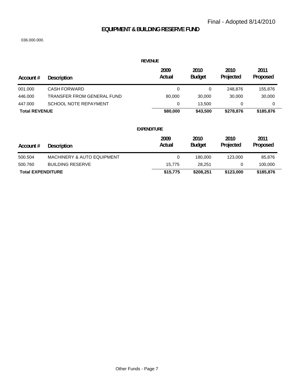# **EQUIPMENT & BUILDING RESERVE FUND**

| <b>REVENUE</b>           |                                       |                    |                       |                   |                  |  |  |
|--------------------------|---------------------------------------|--------------------|-----------------------|-------------------|------------------|--|--|
| Account #                | <b>Description</b>                    | 2009<br>Actual     | 2010<br><b>Budget</b> | 2010<br>Projected | 2011<br>Proposed |  |  |
| 001.000                  | <b>CASH FORWARD</b>                   | 0                  | 0                     | 248,876           | 155,876          |  |  |
| 446.000                  | <b>TRANSFER FROM GENERAL FUND</b>     | 80,000             | 30,000                | 30,000            | 30,000           |  |  |
| 447.000                  | <b>SCHOOL NOTE REPAYMENT</b>          | 0                  | 13,500                | 0                 | 0                |  |  |
| <b>Total REVENUE</b>     |                                       | \$80,000           | \$43,500              | \$278,876         | \$185,876        |  |  |
|                          |                                       | <b>EXPENDITURE</b> |                       |                   |                  |  |  |
| Account #                | <b>Description</b>                    | 2009<br>Actual     | 2010<br><b>Budget</b> | 2010<br>Projected | 2011<br>Proposed |  |  |
| 500.504                  | <b>MACHINERY &amp; AUTO EQUIPMENT</b> | $\mathbf 0$        | 180,000               | 123,000           | 85,876           |  |  |
| 500.760                  | <b>BUILDING RESERVE</b>               | 15,775             | 28,251                | 0                 | 100,000          |  |  |
| <b>Total EXPENDITURE</b> |                                       | \$15,775           | \$208,251             | \$123,000         | \$185,876        |  |  |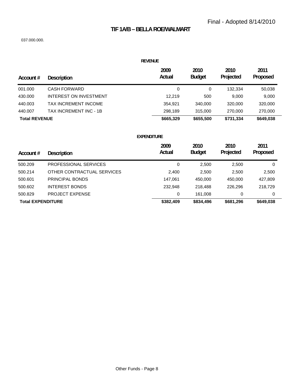# **TIF 1A/B – BELLA ROE/WALMART**

#### 037.000.000.

|  | REVENUE |  |
|--|---------|--|
|  |         |  |

| Account #            | <b>Description</b>     | 2009<br>Actual | 2010<br><b>Budget</b> | 2010<br>Projected | 2011<br>Proposed |
|----------------------|------------------------|----------------|-----------------------|-------------------|------------------|
| 001.000              | CASH FORWARD           | 0              | 0                     | 132.334           | 50,038           |
| 430.000              | INTEREST ON INVESTMENT | 12.219         | 500                   | 9.000             | 9,000            |
| 440.003              | TAX INCREMENT INCOME   | 354.921        | 340,000               | 320,000           | 320,000          |
| 440.007              | TAX INCREMENT INC - 1B | 298.189        | 315,000               | 270,000           | 270,000          |
| <b>Total REVENUE</b> |                        | \$665,329      | \$655,500             | \$731,334         | \$649,038        |

| Account $#$              | <b>Description</b>         | 2009<br>Actual | 2010<br><b>Budget</b> | 2010<br>Projected | 2011<br>Proposed |
|--------------------------|----------------------------|----------------|-----------------------|-------------------|------------------|
| 500.209                  | PROFESSIONAL SERVICES      | 0              | 2,500                 | 2,500             | 0                |
| 500.214                  | OTHER CONTRACTUAL SERVICES | 2,400          | 2,500                 | 2,500             | 2,500            |
| 500.601                  | PRINCIPAL BONDS            | 147.061        | 450,000               | 450,000           | 427,809          |
| 500,602                  | <b>INTEREST BONDS</b>      | 232.948        | 218,488               | 226.296           | 218,729          |
| 500.829                  | <b>PROJECT EXPENSE</b>     | 0              | 161.008               | 0                 | 0                |
| <b>Total EXPENDITURE</b> |                            | \$382,409      | \$834,496             | \$681,296         | \$649,038        |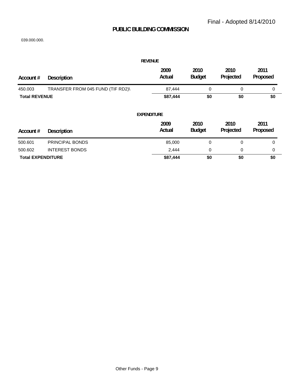## **PUBLIC BUILDING COMMISSION**

|                          |                                   | <b>REVENUE</b>     |                       |                   |                  |
|--------------------------|-----------------------------------|--------------------|-----------------------|-------------------|------------------|
| Account #                | <b>Description</b>                | 2009<br>Actual     | 2010<br><b>Budget</b> | 2010<br>Projected | 2011<br>Proposed |
| 450.003                  | TRANSFER FROM 045 FUND (TIF RD2)\ | 87,444             | 0                     | 0                 | 0                |
| <b>Total REVENUE</b>     |                                   | \$87,444           | \$0                   | \$0               | \$0              |
|                          |                                   | <b>EXPENDITURE</b> |                       |                   |                  |
| Account #                | <b>Description</b>                | 2009<br>Actual     | 2010<br><b>Budget</b> | 2010<br>Projected | 2011<br>Proposed |
| 500.601                  | PRINCIPAL BONDS                   | 85,000             | $\mathbf 0$           | 0                 | $\mathbf 0$      |
| 500.602                  | <b>INTEREST BONDS</b>             | 2,444              | 0                     | 0                 | 0                |
| <b>Total EXPENDITURE</b> |                                   | \$87,444           | \$0                   | \$0               | \$0              |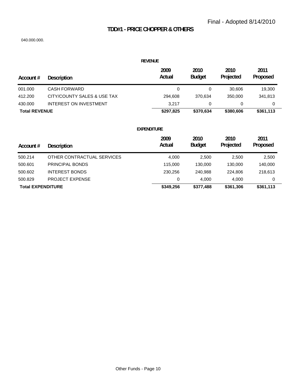# **TDD#1 - PRICE CHOPPER & OTHERS**

#### 040.000.000.

#### **REVENUE**

| Account #            | <b>Description</b>            | 2009<br>Actual | 2010<br><b>Budget</b> | 2010<br>Projected | 2011<br>Proposed |
|----------------------|-------------------------------|----------------|-----------------------|-------------------|------------------|
| 001.000              | CASH FORWARD                  |                |                       | 30.606            | 19,300           |
| 412.200              | CITY/COUNTY SALES & USE TAX   | 294.608        | 370.634               | 350,000           | 341.813          |
| 430,000              | <b>INTEREST ON INVESTMENT</b> | 3.217          |                       |                   |                  |
| <b>Total REVENUE</b> |                               | \$297,825      | \$370,634             | \$380,606         | \$361,113        |

| Account $#$              | <b>Description</b>         | 2009<br>Actual | 2010<br><b>Budget</b> | 2010<br>Projected | 2011<br>Proposed |
|--------------------------|----------------------------|----------------|-----------------------|-------------------|------------------|
|                          |                            |                |                       |                   |                  |
| 500.214                  | OTHER CONTRACTUAL SERVICES | 4.000          | 2,500                 | 2,500             | 2,500            |
| 500,601                  | PRINCIPAL BONDS            | 115,000        | 130,000               | 130,000           | 140,000          |
| 500.602                  | <b>INTEREST BONDS</b>      | 230.256        | 240,988               | 224,806           | 218,613          |
| 500.829                  | <b>PROJECT EXPENSE</b>     | 0              | 4.000                 | 4.000             | 0                |
| <b>Total EXPENDITURE</b> |                            | \$349,256      | \$377,488             | \$361,306         | \$361,113        |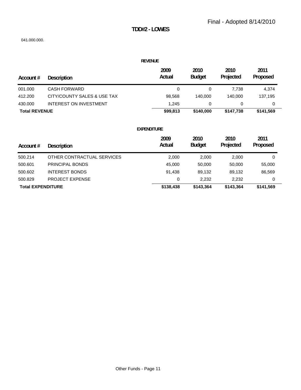# **TDD#2 - LOWES**

#### 041.000.000.

#### **REVENUE**

| Account #            | Description                 | 2009<br>Actual | 2010<br><b>Budget</b> | 2010<br>Projected | 2011<br><b>Proposed</b> |
|----------------------|-----------------------------|----------------|-----------------------|-------------------|-------------------------|
| 001.000              | CASH FORWARD                |                |                       | 7.738             | 4.374                   |
| 412.200              | CITY/COUNTY SALES & USE TAX | 98,568         | 140.000               | 140.000           | 137.195                 |
| 430,000              | INTEREST ON INVESTMENT      | 1.245          |                       |                   | 0                       |
| <b>Total REVENUE</b> |                             | \$99.813       | \$140,000             | \$147.738         | \$141.569               |

|                          |                            | 2009      | 2010          | 2010      | 2011      |
|--------------------------|----------------------------|-----------|---------------|-----------|-----------|
| Account $#$              | <b>Description</b>         | Actual    | <b>Budget</b> | Projected | Proposed  |
| 500.214                  | OTHER CONTRACTUAL SERVICES | 2,000     | 2,000         | 2,000     | 0         |
| 500.601                  | PRINCIPAL BONDS            | 45,000    | 50,000        | 50,000    | 55,000    |
| 500.602                  | <b>INTEREST BONDS</b>      | 91.438    | 89.132        | 89,132    | 86,569    |
| 500.829                  | <b>PROJECT EXPENSE</b>     | 0         | 2.232         | 2,232     | 0         |
| <b>Total EXPENDITURE</b> |                            | \$138,438 | \$143,364     | \$143,364 | \$141,569 |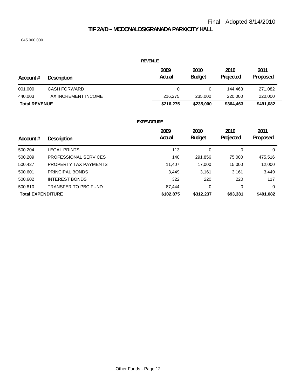## **TIF 2A/D – MCDONALDS/GRANADA PARK/CITY HALL**

045.000.000.

|                      |                      | <b>REVENUE</b> |                       |                   |                  |
|----------------------|----------------------|----------------|-----------------------|-------------------|------------------|
| Account #            | Description          | 2009<br>Actual | 2010<br><b>Budget</b> | 2010<br>Projected | 2011<br>Proposed |
| 001.000              | <b>CASH FORWARD</b>  | 0              | 0                     | 144.463           | 271,082          |
| 440.003              | TAX INCREMENT INCOME | 216,275        | 235,000               | 220,000           | 220,000          |
| <b>Total REVENUE</b> |                      | \$216,275      | \$235,000             | \$364,463         | \$491,082        |

| Account $#$              | <b>Description</b>    | 2009<br>Actual | 2010<br><b>Budget</b> | 2010<br>Projected | 2011<br>Proposed |
|--------------------------|-----------------------|----------------|-----------------------|-------------------|------------------|
| 500.204                  | <b>LEGAL PRINTS</b>   | 113            | 0                     | 0                 | 0                |
| 500.209                  | PROFESSIONAL SERVICES | 140            | 291,856               | 75,000            | 475,516          |
| 500.427                  | PROPERTY TAX PAYMENTS | 11,407         | 17,000                | 15,000            | 12,000           |
| 500.601                  | PRINCIPAL BONDS       | 3,449          | 3,161                 | 3,161             | 3,449            |
| 500.602                  | <b>INTEREST BONDS</b> | 322            | 220                   | 220               | 117              |
| 500.810                  | TRANSFER TO PBC FUND. | 87.444         | 0                     | 0                 | 0                |
| <b>Total EXPENDITURE</b> |                       | \$102,875      | \$312,237             | \$93,381          | \$491,082        |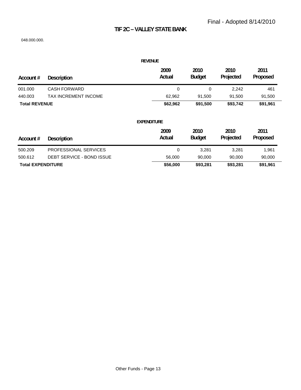# **TIF 2C – VALLEY STATE BANK**

| <b>REVENUE</b>           |                             |                    |                       |                   |                  |  |
|--------------------------|-----------------------------|--------------------|-----------------------|-------------------|------------------|--|
| Account #                | <b>Description</b>          | 2009<br>Actual     | 2010<br><b>Budget</b> | 2010<br>Projected | 2011<br>Proposed |  |
| 001.000                  | <b>CASH FORWARD</b>         | 0                  | 0                     | 2,242             | 461              |  |
| 440.003                  | <b>TAX INCREMENT INCOME</b> | 62,962             | 91,500                | 91,500            | 91,500           |  |
| <b>Total REVENUE</b>     |                             | \$62,962           | \$91,500              | \$93,742          | \$91,961         |  |
|                          |                             | <b>EXPENDITURE</b> |                       |                   |                  |  |
| Account #                | <b>Description</b>          | 2009<br>Actual     | 2010<br><b>Budget</b> | 2010<br>Projected | 2011<br>Proposed |  |
| 500.209                  | PROFESSIONAL SERVICES       | 0                  | 3,281                 | 3,281             | 1,961            |  |
| 500.612                  | DEBT SERVICE - BOND ISSUE   | 56,000             | 90,000                | 90,000            | 90,000           |  |
| <b>Total EXPENDITURE</b> |                             | \$56,000           | \$93,281              | \$93,281          | \$91,961         |  |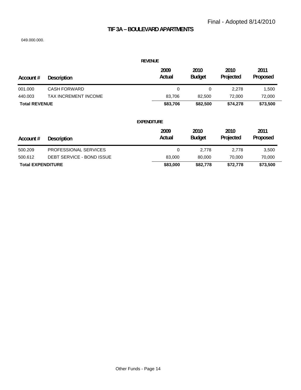# **TIF 3A – BOULEVARD APARTMENTS**

| <b>REVENUE</b>           |                           |                    |                       |                   |                  |  |
|--------------------------|---------------------------|--------------------|-----------------------|-------------------|------------------|--|
| Account #                | <b>Description</b>        | 2009<br>Actual     | 2010<br><b>Budget</b> | 2010<br>Projected | 2011<br>Proposed |  |
| 001.000                  | <b>CASH FORWARD</b>       | 0                  | $\mathbf 0$           | 2,278             | 1,500            |  |
| 440.003                  | TAX INCREMENT INCOME      | 83,706             | 82,500                | 72,000            | 72,000           |  |
| <b>Total REVENUE</b>     |                           | \$83,706           | \$82,500              | \$74,278          | \$73,500         |  |
|                          |                           | <b>EXPENDITURE</b> |                       |                   |                  |  |
| Account #                | <b>Description</b>        | 2009<br>Actual     | 2010<br><b>Budget</b> | 2010<br>Projected | 2011<br>Proposed |  |
| 500.209                  | PROFESSIONAL SERVICES     | 0                  | 2,778                 | 2,778             | 3,500            |  |
| 500.612                  | DEBT SERVICE - BOND ISSUE | 83,000             | 80,000                | 70,000            | 70,000           |  |
| <b>Total EXPENDITURE</b> |                           | \$83,000           | \$82,778              | \$72,778          | \$73,500         |  |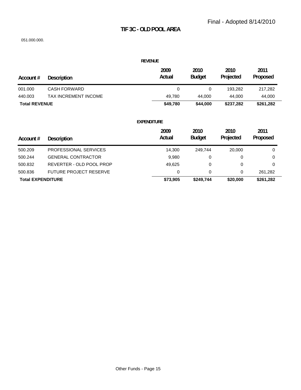# **TIF 3C - OLD POOL AREA**

| <b>REVENUE</b>       |                           |                    |                       |                   |                  |  |  |
|----------------------|---------------------------|--------------------|-----------------------|-------------------|------------------|--|--|
| Account#             | <b>Description</b>        | 2009<br>Actual     | 2010<br><b>Budget</b> | 2010<br>Projected | 2011<br>Proposed |  |  |
| 001.000              | <b>CASH FORWARD</b>       | 0                  | 0                     | 193,282           | 217,282          |  |  |
| 440.003              | TAX INCREMENT INCOME      | 49,780             | 44,000                | 44,000            | 44,000           |  |  |
| <b>Total REVENUE</b> |                           | \$49,780           | \$44,000              | \$237,282         | \$261,282        |  |  |
|                      |                           | <b>EXPENDITURE</b> |                       |                   |                  |  |  |
|                      |                           | 2009               | 2010                  | 2010              | 2011             |  |  |
| Account #            | <b>Description</b>        | Actual             | <b>Budget</b>         | Projected         | Proposed         |  |  |
| 500.209              | PROFESSIONAL SERVICES     | 14,300             | 249,744               | 20,000            | 0                |  |  |
| 500.244              | <b>GENERAL CONTRACTOR</b> | 9,980              | 0                     | 0                 | 0                |  |  |

| <b>Total EXPENDITURE</b> |                               | \$73.905 | \$249.744 | \$20,000 | \$261.282 |
|--------------------------|-------------------------------|----------|-----------|----------|-----------|
| 500.836                  | <b>FUTURE PROJECT RESERVE</b> |          |           |          | 261.282   |
| 500.832                  | REVERTER - OLD POOL PROP      | 49.625   |           |          |           |